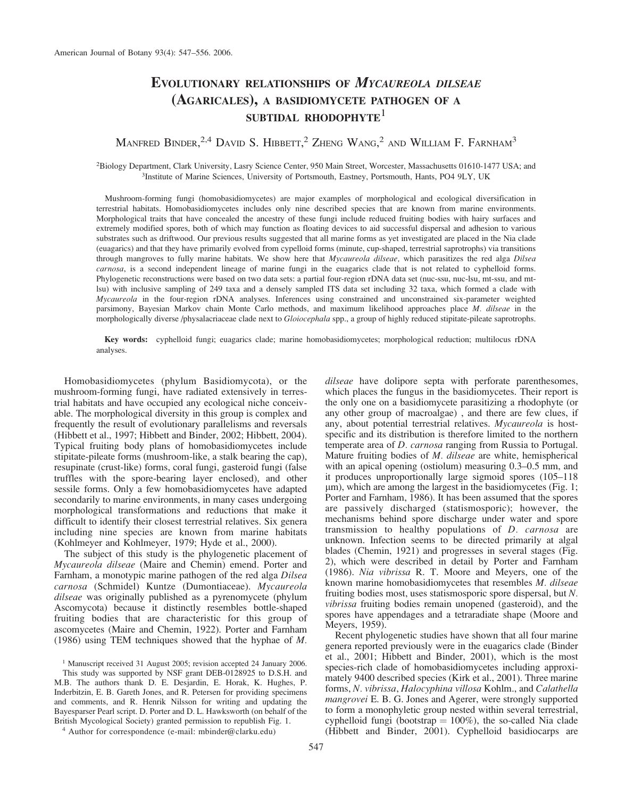# EVOLUTIONARY RELATIONSHIPS OF MYCAUREOLA DILSEAE (AGARICALES), A BASIDIOMYCETE PATHOGEN OF A SUBTIDAL RHODOPHYTE<sup>1</sup>

## Manfred Binder,<sup>2,4</sup> David S. Hibbett,<sup>2</sup> Zheng Wang,<sup>2</sup> and William F. Farnham<sup>3</sup>

2 Biology Department, Clark University, Lasry Science Center, 950 Main Street, Worcester, Massachusetts 01610-1477 USA; and <sup>3</sup>Institute of Marine Sciences, University of Portsmouth, Eastney, Portsmouth, Hants, PO4 9LY, UK

Mushroom-forming fungi (homobasidiomycetes) are major examples of morphological and ecological diversification in terrestrial habitats. Homobasidiomycetes includes only nine described species that are known from marine environments. Morphological traits that have concealed the ancestry of these fungi include reduced fruiting bodies with hairy surfaces and extremely modified spores, both of which may function as floating devices to aid successful dispersal and adhesion to various substrates such as driftwood. Our previous results suggested that all marine forms as yet investigated are placed in the Nia clade (euagarics) and that they have primarily evolved from cypelloid forms (minute, cup-shaped, terrestrial saprotrophs) via transitions through mangroves to fully marine habitats. We show here that *Mycaureola dilseae*, which parasitizes the red alga Dilsea carnosa, is a second independent lineage of marine fungi in the euagarics clade that is not related to cyphelloid forms. Phylogenetic reconstructions were based on two data sets: a partial four-region rDNA data set (nuc-ssu, nuc-lsu, mt-ssu, and mtlsu) with inclusive sampling of 249 taxa and a densely sampled ITS data set including 32 taxa, which formed a clade with Mycaureola in the four-region rDNA analyses. Inferences using constrained and unconstrained six-parameter weighted parsimony, Bayesian Markov chain Monte Carlo methods, and maximum likelihood approaches place M. dilseae in the morphologically diverse /physalacriaceae clade next to *Gloiocephala* spp., a group of highly reduced stipitate-pileate saprotrophs.

Key words: cyphelloid fungi; euagarics clade; marine homobasidiomycetes; morphological reduction; multilocus rDNA analyses.

Homobasidiomycetes (phylum Basidiomycota), or the mushroom-forming fungi, have radiated extensively in terrestrial habitats and have occupied any ecological niche conceivable. The morphological diversity in this group is complex and frequently the result of evolutionary parallelisms and reversals (Hibbett et al., 1997; Hibbett and Binder, 2002; Hibbett, 2004). Typical fruiting body plans of homobasidiomycetes include stipitate-pileate forms (mushroom-like, a stalk bearing the cap), resupinate (crust-like) forms, coral fungi, gasteroid fungi (false truffles with the spore-bearing layer enclosed), and other sessile forms. Only a few homobasidiomycetes have adapted secondarily to marine environments, in many cases undergoing morphological transformations and reductions that make it difficult to identify their closest terrestrial relatives. Six genera including nine species are known from marine habitats (Kohlmeyer and Kohlmeyer, 1979; Hyde et al., 2000).

The subject of this study is the phylogenetic placement of Mycaureola dilseae (Maire and Chemin) emend. Porter and Farnham, a monotypic marine pathogen of the red alga Dilsea carnosa (Schmidel) Kuntze (Dumontiaceae). Mycaureola dilseae was originally published as a pyrenomycete (phylum Ascomycota) because it distinctly resembles bottle-shaped fruiting bodies that are characteristic for this group of ascomycetes (Maire and Chemin, 1922). Porter and Farnham (1986) using TEM techniques showed that the hyphae of M.

<sup>1</sup> Manuscript received 31 August 2005; revision accepted 24 January 2006. This study was supported by NSF grant DEB-0128925 to D.S.H. and M.B. The authors thank D. E. Desjardin, E. Horak, K. Hughes, P. Inderbitzin, E. B. Gareth Jones, and R. Petersen for providing specimens and comments, and R. Henrik Nilsson for writing and updating the Bayesparser Pearl script. D. Porter and D. L. Hawksworth (on behalf of the British Mycological Society) granted permission to republish Fig. 1.

<sup>4</sup> Author for correspondence (e-mail: mbinder@clarku.edu)

dilseae have dolipore septa with perforate parenthesomes, which places the fungus in the basidiomycetes. Their report is the only one on a basidiomycete parasitizing a rhodophyte (or any other group of macroalgae) , and there are few clues, if any, about potential terrestrial relatives. Mycaureola is hostspecific and its distribution is therefore limited to the northern temperate area of D. carnosa ranging from Russia to Portugal. Mature fruiting bodies of M. dilseae are white, hemispherical with an apical opening (ostiolum) measuring 0.3–0.5 mm, and it produces unproportionally large sigmoid spores (105–118  $\mu$ m), which are among the largest in the basidiomycetes (Fig. 1; Porter and Farnham, 1986). It has been assumed that the spores are passively discharged (statismosporic); however, the mechanisms behind spore discharge under water and spore transmission to healthy populations of D. carnosa are unknown. Infection seems to be directed primarily at algal blades (Chemin, 1921) and progresses in several stages (Fig. 2), which were described in detail by Porter and Farnham (1986). Nia vibrissa R. T. Moore and Meyers, one of the known marine homobasidiomycetes that resembles M. dilseae fruiting bodies most, uses statismosporic spore dispersal, but N. vibrissa fruiting bodies remain unopened (gasteroid), and the spores have appendages and a tetraradiate shape (Moore and Meyers, 1959).

Recent phylogenetic studies have shown that all four marine genera reported previously were in the euagarics clade (Binder et al., 2001; Hibbett and Binder, 2001), which is the most species-rich clade of homobasidiomycetes including approximately 9400 described species (Kirk et al., 2001). Three marine forms, N. vibrissa, Halocyphina villosa Kohlm., and Calathella mangrovei E. B. G. Jones and Agerer, were strongly supported to form a monophyletic group nested within several terrestrial, cyphelloid fungi (bootstrap  $= 100\%$ ), the so-called Nia clade (Hibbett and Binder, 2001). Cyphelloid basidiocarps are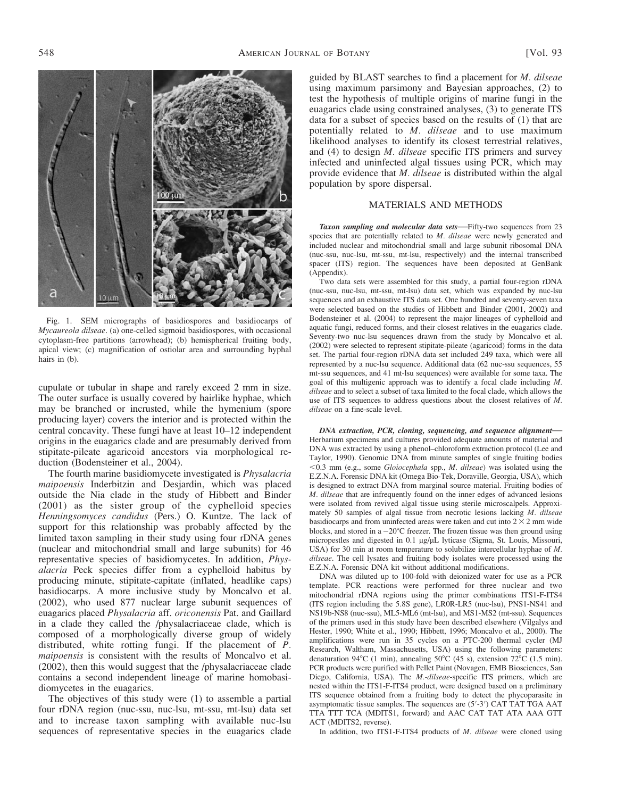548 **AMERICAN JOURNAL OF BOTANY** [Vol. 93]



Fig. 1. SEM micrographs of basidiospores and basidiocarps of Mycaureola dilseae. (a) one-celled sigmoid basidiospores, with occasional cytoplasm-free partitions (arrowhead); (b) hemispherical fruiting body, apical view; (c) magnification of ostiolar area and surrounding hyphal hairs in (b).

cupulate or tubular in shape and rarely exceed 2 mm in size. The outer surface is usually covered by hairlike hyphae, which may be branched or incrusted, while the hymenium (spore producing layer) covers the interior and is protected within the central concavity. These fungi have at least 10–12 independent origins in the euagarics clade and are presumably derived from stipitate-pileate agaricoid ancestors via morphological reduction (Bodensteiner et al., 2004).

The fourth marine basidiomycete investigated is *Physalacria* maipoensis Inderbitzin and Desjardin, which was placed outside the Nia clade in the study of Hibbett and Binder (2001) as the sister group of the cyphelloid species Henningsomyces candidus (Pers.) O. Kuntze. The lack of support for this relationship was probably affected by the limited taxon sampling in their study using four rDNA genes (nuclear and mitochondrial small and large subunits) for 46 representative species of basidiomycetes. In addition, Physalacria Peck species differ from a cyphelloid habitus by producing minute, stipitate-capitate (inflated, headlike caps) basidiocarps. A more inclusive study by Moncalvo et al. (2002), who used 877 nuclear large subunit sequences of euagarics placed Physalacria aff. oriconensis Pat. and Gaillard in a clade they called the /physalacriaceae clade, which is composed of a morphologically diverse group of widely distributed, white rotting fungi. If the placement of P. maipoensis is consistent with the results of Moncalvo et al. (2002), then this would suggest that the /physalacriaceae clade contains a second independent lineage of marine homobasidiomycetes in the euagarics.

The objectives of this study were (1) to assemble a partial four rDNA region (nuc-ssu, nuc-lsu, mt-ssu, mt-lsu) data set and to increase taxon sampling with available nuc-lsu sequences of representative species in the euagarics clade

guided by BLAST searches to find a placement for M. dilseae using maximum parsimony and Bayesian approaches, (2) to test the hypothesis of multiple origins of marine fungi in the euagarics clade using constrained analyses, (3) to generate ITS data for a subset of species based on the results of (1) that are potentially related to M. dilseae and to use maximum likelihood analyses to identify its closest terrestrial relatives, and (4) to design M. dilseae specific ITS primers and survey infected and uninfected algal tissues using PCR, which may provide evidence that M. dilseae is distributed within the algal population by spore dispersal.

### MATERIALS AND METHODS

Taxon sampling and molecular data sets—Fifty-two sequences from 23 species that are potentially related to M. dilseae were newly generated and included nuclear and mitochondrial small and large subunit ribosomal DNA (nuc-ssu, nuc-lsu, mt-ssu, mt-lsu, respectively) and the internal transcribed spacer (ITS) region. The sequences have been deposited at GenBank (Appendix).

Two data sets were assembled for this study, a partial four-region rDNA (nuc-ssu, nuc-lsu, mt-ssu, mt-lsu) data set, which was expanded by nuc-lsu sequences and an exhaustive ITS data set. One hundred and seventy-seven taxa were selected based on the studies of Hibbett and Binder (2001, 2002) and Bodensteiner et al. (2004) to represent the major lineages of cyphelloid and aquatic fungi, reduced forms, and their closest relatives in the euagarics clade. Seventy-two nuc-lsu sequences drawn from the study by Moncalvo et al. (2002) were selected to represent stipitate-pileate (agaricoid) forms in the data set. The partial four-region rDNA data set included 249 taxa, which were all represented by a nuc-lsu sequence. Additional data (62 nuc-ssu sequences, 55 mt-ssu sequences, and 41 mt-lsu sequences) were available for some taxa. The goal of this multigenic approach was to identify a focal clade including M. dilseae and to select a subset of taxa limited to the focal clade, which allows the use of ITS sequences to address questions about the closest relatives of M. dilseae on a fine-scale level.

DNA extraction, PCR, cloning, sequencing, and sequence alignment— Herbarium specimens and cultures provided adequate amounts of material and DNA was extracted by using a phenol–chloroform extraction protocol (Lee and Taylor, 1990). Genomic DNA from minute samples of single fruiting bodies  $<$ 0.3 mm (e.g., some Gloiocephala spp., M. dilseae) was isolated using the E.Z.N.A. Forensic DNA kit (Omega Bio-Tek, Doraville, Georgia, USA), which is designed to extract DNA from marginal source material. Fruiting bodies of M. dilseae that are infrequently found on the inner edges of advanced lesions were isolated from revived algal tissue using sterile microscalpels. Approximately 50 samples of algal tissue from necrotic lesions lacking *M. dilseae* basidiocarps and from uninfected areas were taken and cut into  $2 \times 2$  mm wide blocks, and stored in a  $-20^{\circ}$ C freezer. The frozen tissue was then ground using micropestles and digested in 0.1  $\mu$ g/ $\mu$ L lyticase (Sigma, St. Louis, Missouri, USA) for 30 min at room temperature to solubilize intercellular hyphae of M. dilseae. The cell lysates and fruiting body isolates were processed using the E.Z.N.A. Forensic DNA kit without additional modifications.

DNA was diluted up to 100-fold with deionized water for use as a PCR template. PCR reactions were performed for three nuclear and two mitochondrial rDNA regions using the primer combinations ITS1-F-ITS4 (ITS region including the 5.8S gene), LR0R-LR5 (nuc-lsu), PNS1-NS41 and NS19b-NS8 (nuc-ssu), ML5-ML6 (mt-lsu), and MS1-MS2 (mt-ssu). Sequences of the primers used in this study have been described elsewhere (Vilgalys and Hester, 1990; White et al., 1990; Hibbett, 1996; Moncalvo et al., 2000). The amplifications were run in 35 cycles on a PTC-200 thermal cycler (MJ Research, Waltham, Massachusetts, USA) using the following parameters: denaturation 94°C (1 min), annealing 50°C (45 s), extension 72°C (1.5 min). PCR products were purified with Pellet Paint (Novagen, EMB Biosciences, San Diego, California, USA). The M.-dilseae-specific ITS primers, which are nested within the ITS1-F-ITS4 product, were designed based on a preliminary ITS sequence obtained from a fruiting body to detect the phycoparasite in asymptomatic tissue samples. The sequences are  $(5'$ -3') CAT TAT TGA AAT TTA TTT TCA (MDITS1, forward) and AAC CAT TAT ATA AAA GTT ACT (MDITS2, reverse).

In addition, two ITS1-F-ITS4 products of M. dilseae were cloned using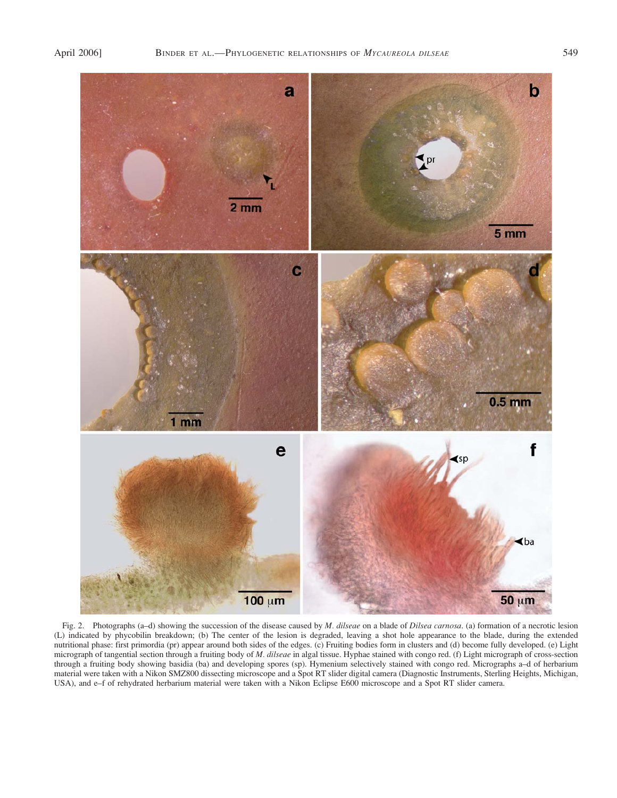

Fig. 2. Photographs (a–d) showing the succession of the disease caused by *M. dilseae* on a blade of *Dilsea carnosa*. (a) formation of a necrotic lesion (L) indicated by phycobilin breakdown; (b) The center of the lesion is degraded, leaving a shot hole appearance to the blade, during the extended nutritional phase: first primordia (pr) appear around both sides of the edges. (c) Fruiting bodies form in clusters and (d) become fully developed. (e) Light micrograph of tangential section through a fruiting body of M. dilseae in algal tissue. Hyphae stained with congo red. (f) Light micrograph of cross-section through a fruiting body showing basidia (ba) and developing spores (sp). Hymenium selectively stained with congo red. Micrographs a–d of herbarium material were taken with a Nikon SMZ800 dissecting microscope and a Spot RT slider digital camera (Diagnostic Instruments, Sterling Heights, Michigan, USA), and e–f of rehydrated herbarium material were taken with a Nikon Eclipse E600 microscope and a Spot RT slider camera.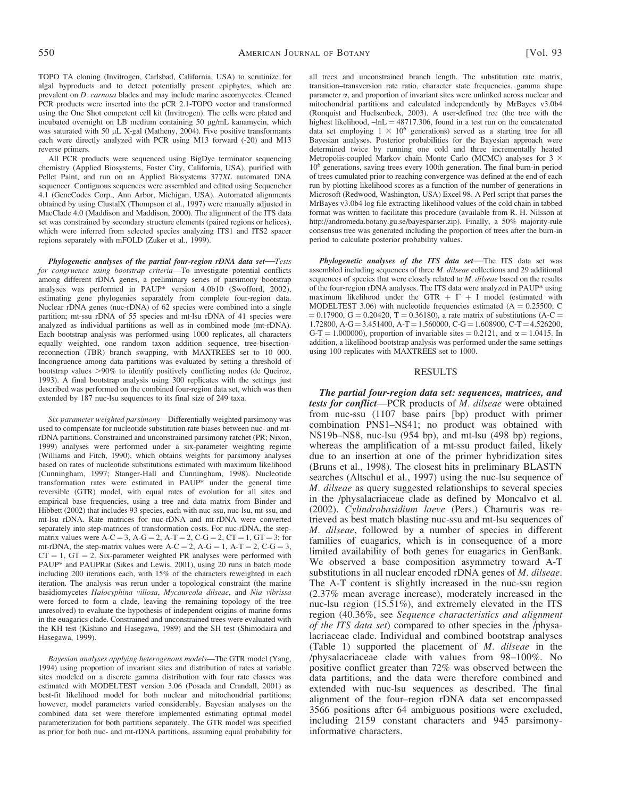TOPO TA cloning (Invitrogen, Carlsbad, California, USA) to scrutinize for algal byproducts and to detect potentially present epiphytes, which are prevalent on D. carnosa blades and may include marine ascomycetes. Cleaned PCR products were inserted into the pCR 2.1-TOPO vector and transformed using the One Shot competent cell kit (Invitrogen). The cells were plated and incubated overnight on LB medium containing 50 µg/mL kanamycin, which was saturated with 50  $\mu$ L X-gal (Matheny, 2004). Five positive transformants each were directly analyzed with PCR using M13 forward (-20) and M13 reverse primers.

All PCR products were sequenced using BigDye terminator sequencing chemistry (Applied Biosystems, Foster City, California, USA), purified with Pellet Paint, and run on an Applied Biosystems 377XL automated DNA sequencer. Contiguous sequences were assembled and edited using Sequencher 4.1 (GeneCodes Corp., Ann Arbor, Michigan, USA). Automated alignments obtained by using ClustalX (Thompson et al., 1997) were manually adjusted in MacClade 4.0 (Maddison and Maddison, 2000). The alignment of the ITS data set was constrained by secondary structure elements (paired regions or helices), which were inferred from selected species analyzing ITS1 and ITS2 spacer regions separately with mFOLD (Zuker et al., 1999).

Phylogenetic analyses of the partial four-region rDNA data set—Tests for congruence using bootstrap criteria—To investigate potential conflicts among different rDNA genes, a preliminary series of parsimony bootstrap analyses was performed in PAUP\* version 4.0b10 (Swofford, 2002), estimating gene phylogenies separately from complete four-region data. Nuclear rDNA genes (nuc-rDNA) of 62 species were combined into a single partition; mt-ssu rDNA of 55 species and mt-lsu rDNA of 41 species were analyzed as individual partitions as well as in combined mode (mt-rDNA). Each bootstrap analysis was performed using 1000 replicates, all characters equally weighted, one random taxon addition sequence, tree-bisectionreconnection (TBR) branch swapping, with MAXTREES set to 10 000. Incongruence among data partitions was evaluated by setting a threshold of bootstrap values >90% to identify positively conflicting nodes (de Queiroz, 1993). A final bootstrap analysis using 300 replicates with the settings just described was performed on the combined four-region data set, which was then extended by 187 nuc-lsu sequences to its final size of 249 taxa.

Six-parameter weighted parsimony—Differentially weighted parsimony was used to compensate for nucleotide substitution rate biases between nuc- and mtrDNA partitions. Constrained and unconstrained parsimony ratchet (PR; Nixon, 1999) analyses were performed under a six-parameter weighting regime (Williams and Fitch, 1990), which obtains weights for parsimony analyses based on rates of nucleotide substitutions estimated with maximum likelihood (Cunningham, 1997; Stanger-Hall and Cunningham, 1998). Nucleotide transformation rates were estimated in PAUP\* under the general time reversible (GTR) model, with equal rates of evolution for all sites and empirical base frequencies, using a tree and data matrix from Binder and Hibbett (2002) that includes 93 species, each with nuc-ssu, nuc-lsu, mt-ssu, and mt-lsu rDNA. Rate matrices for nuc-rDNA and mt-rDNA were converted separately into step-matrices of transformation costs. For nuc-rDNA, the stepmatrix values were  $A-C = 3$ ,  $A-G = 2$ ,  $A-T = 2$ ,  $C-G = 2$ ,  $CT = 1$ ,  $GT = 3$ ; for mt-rDNA, the step-matrix values were  $A-C = 2$ ,  $A-G = 1$ ,  $A-T = 2$ ,  $C-G = 3$ ,  $CT = 1$ ,  $GT = 2$ . Six-parameter weighted PR analyses were performed with PAUP\* and PAUPRat (Sikes and Lewis, 2001), using 20 runs in batch mode including 200 iterations each, with 15% of the characters reweighted in each iteration. The analysis was rerun under a topological constraint (the marine basidiomycetes Halocyphina villosa, Mycaureola dilseae, and Nia vibrissa were forced to form a clade, leaving the remaining topology of the tree unresolved) to evaluate the hypothesis of independent origins of marine forms in the euagarics clade. Constrained and unconstrained trees were evaluated with the KH test (Kishino and Hasegawa, 1989) and the SH test (Shimodaira and Hasegawa, 1999).

Bayesian analyses applying heterogenous models—The GTR model (Yang, 1994) using proportion of invariant sites and distribution of rates at variable sites modeled on a discrete gamma distribution with four rate classes was estimated with MODELTEST version 3.06 (Posada and Crandall, 2001) as best-fit likelihood model for both nuclear and mitochondrial partitions; however, model parameters varied considerably. Bayesian analyses on the combined data set were therefore implemented estimating optimal model parameterization for both partitions separately. The GTR model was specified as prior for both nuc- and mt-rDNA partitions, assuming equal probability for

all trees and unconstrained branch length. The substitution rate matrix, transition–transversion rate ratio, character state frequencies, gamma shape parameter  $\alpha$ , and proportion of invariant sites were unlinked across nuclear and mitochondrial partitions and calculated independently by MrBayes v3.0b4 (Ronquist and Huelsenbeck, 2003). A user-defined tree (the tree with the highest likelihood,  $-lnL = 48717.306$ , found in a test run on the concatenated data set employing  $1 \times 10^6$  generations) served as a starting tree for all Bayesian analyses. Posterior probabilities for the Bayesian approach were determined twice by running one cold and three incrementally heated Metropolis-coupled Markov chain Monte Carlo (MCMC) analyses for 3  $\times$ 106 generations, saving trees every 100th generation. The final burn-in period of trees cumulated prior to reaching convergence was defined at the end of each run by plotting likelihood scores as a function of the number of generations in Microsoft (Redwood, Washington, USA) Excel 98. A Perl script that parses the MrBayes v3.0b4 log file extracting likelihood values of the cold chain in tabbed format was written to facilitate this procedure (available from R. H. Nilsson at http://andromeda.botany.gu.se/bayesparser.zip). Finally, a 50% majority-rule consensus tree was generated including the proportion of trees after the burn-in period to calculate posterior probability values.

Phylogenetic analyses of the ITS data set—The ITS data set was assembled including sequences of three M. dilseae collections and 29 additional sequences of species that were closely related to M. dilseae based on the results of the four-region rDNA analyses. The ITS data were analyzed in PAUP\* using maximum likelihood under the GTR  $+ \Gamma + I$  model (estimated with MODELTEST 3.06) with nucleotide frequencies estimated  $(A = 0.25500, C)$  $= 0.17900$ , G = 0.20420, T = 0.36180), a rate matrix of substitutions (A-C =  $1.72800$ , A-G = 3.451400, A-T = 1.560000, C-G = 1.608900, C-T = 4.526200, G-T = 1.000000), proportion of invariable sites = 0.2121, and  $\alpha$  = 1.0415. In addition, a likelihood bootstrap analysis was performed under the same settings using 100 replicates with MAXTREES set to 1000.

#### RESULTS

The partial four-region data set: sequences, matrices, and tests for conflict—PCR products of M. dilseae were obtained from nuc-ssu (1107 base pairs [bp) product with primer combination PNS1–NS41; no product was obtained with NS19b–NS8, nuc-lsu (954 bp), and mt-lsu (498 bp) regions, whereas the amplification of a mt-ssu product failed, likely due to an insertion at one of the primer hybridization sites (Bruns et al., 1998). The closest hits in preliminary BLASTN searches (Altschul et al., 1997) using the nuc-lsu sequence of M. dilseae as query suggested relationships to several species in the /physalacriaceae clade as defined by Moncalvo et al. (2002). Cylindrobasidium laeve (Pers.) Chamuris was retrieved as best match blasting nuc-ssu and mt-lsu sequences of M. dilseae, followed by a number of species in different families of euagarics, which is in consequence of a more limited availability of both genes for euagarics in GenBank. We observed a base composition asymmetry toward A-T substitutions in all nuclear encoded rDNA genes of *M. dilseae*. The A-T content is slightly increased in the nuc-ssu region (2.37% mean average increase), moderately increased in the nuc-lsu region (15.51%), and extremely elevated in the ITS region (40.36%, see Sequence characteristics and alignment of the ITS data set) compared to other species in the /physalacriaceae clade. Individual and combined bootstrap analyses (Table 1) supported the placement of M. dilseae in the /physalacriaceae clade with values from 98–100%. No positive conflict greater than 72% was observed between the data partitions, and the data were therefore combined and extended with nuc-lsu sequences as described. The final alignment of the four–region rDNA data set encompassed 3566 positions after 64 ambiguous positions were excluded, including 2159 constant characters and 945 parsimonyinformative characters.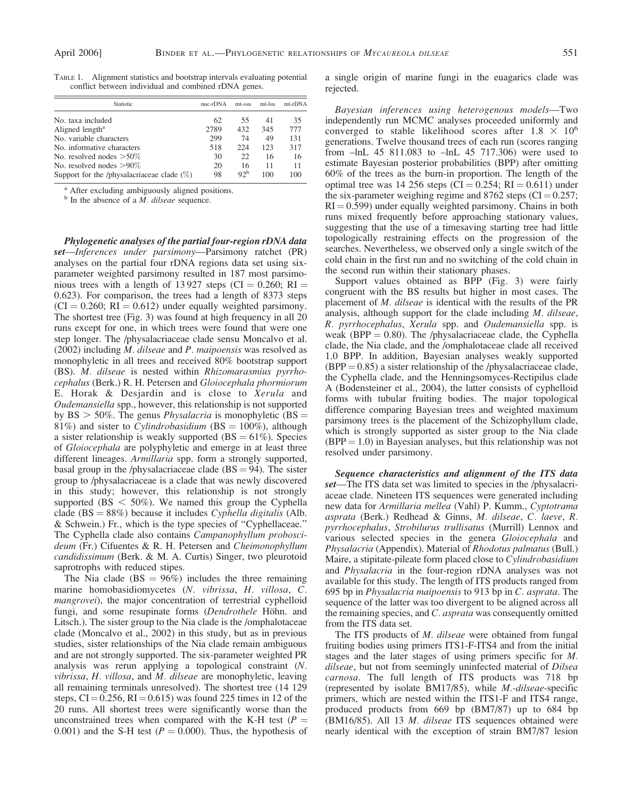| Statistic                                     | $nuc-rDNA$ | mt-ssu          | mt-Isu | $mt-rDNA$ |
|-----------------------------------------------|------------|-----------------|--------|-----------|
| No. taxa included                             | 62         | 55              | 41     | 35        |
| Aligned length <sup>a</sup>                   | 2789       | 432             | 345    | 777       |
| No. variable characters                       | 299        | 74              | 49     | 131       |
| No. informative characters                    | 518        | 224             | 123    | 317       |
| No. resolved nodes $>50\%$                    | 30         | 22.             | 16     | 16        |
| No. resolved nodes $>90\%$                    | 20         | 16              | 11     | 11        |
| Support for the /physalacriaceae clade $(\%)$ | 98         | 92 <sup>b</sup> | 100    | 100       |

TABLE 1. Alignment statistics and bootstrap intervals evaluating potential conflict between individual and combined rDNA genes.

<sup>a</sup> After excluding ambiguously aligned positions.

 $<sup>b</sup>$  In the absence of a *M*. *dilseae* sequence.</sup>

Phylogenetic analyses of the partial four-region rDNA data set—Inferences under parsimony—Parsimony ratchet (PR) analyses on the partial four rDNA regions data set using sixparameter weighted parsimony resulted in 187 most parsimonious trees with a length of 13927 steps (CI = 0.260; RI = 0.623). For comparison, the trees had a length of 8373 steps  $(CI = 0.260; RI = 0.612)$  under equally weighted parsimony. The shortest tree (Fig. 3) was found at high frequency in all 20 runs except for one, in which trees were found that were one step longer. The /physalacriaceae clade sensu Moncalvo et al. (2002) including M. dilseae and P. maipoensis was resolved as monophyletic in all trees and received 80% bootstrap support (BS). M. dilseae is nested within Rhizomarasmius pyrrhocephalus (Berk.) R. H. Petersen and Gloiocephala phormiorum E. Horak & Desjardin and is close to Xerula and Oudemansiella spp., however, this relationship is not supported by BS  $>$  50%. The genus *Physalacria* is monophyletic (BS  $=$ 81%) and sister to Cylindrobasidium (BS =  $100\%$ ), although a sister relationship is weakly supported ( $BS = 61\%$ ). Species of Gloiocephala are polyphyletic and emerge in at least three different lineages. Armillaria spp. form a strongly supported, basal group in the /physalacriaceae clade  $(BS = 94)$ . The sister group to /physalacriaceae is a clade that was newly discovered in this study; however, this relationship is not strongly supported ( $BS < 50\%$ ). We named this group the Cyphella clade  $(BS = 88\%)$  because it includes Cyphella digitalis (Alb. & Schwein.) Fr., which is the type species of ''Cyphellaceae.'' The Cyphella clade also contains Campanophyllum proboscideum (Fr.) Cifuentes & R. H. Petersen and Cheimonophyllum candidissimum (Berk. & M. A. Curtis) Singer, two pleurotoid saprotrophs with reduced stipes.

The Nia clade  $(BS = 96\%)$  includes the three remaining marine homobasidiomycetes (N. vibrissa, H. villosa, C. mangrovei), the major concentration of terrestrial cyphelloid fungi, and some resupinate forms (Dendrothele Höhn. and Litsch.). The sister group to the Nia clade is the /omphalotaceae clade (Moncalvo et al., 2002) in this study, but as in previous studies, sister relationships of the Nia clade remain ambiguous and are not strongly supported. The six-parameter weighted PR analysis was rerun applying a topological constraint (N. vibrissa, H. villosa, and M. dilseae are monophyletic, leaving all remaining terminals unresolved). The shortest tree (14 129 steps,  $CI = 0.256$ ,  $RI = 0.615$ ) was found 225 times in 12 of the 20 runs. All shortest trees were significantly worse than the unconstrained trees when compared with the K-H test ( $P =$ 0.001) and the S-H test ( $P = 0.000$ ). Thus, the hypothesis of a single origin of marine fungi in the euagarics clade was rejected.

Bayesian inferences using heterogenous models—Two independently run MCMC analyses proceeded uniformly and converged to stable likelihood scores after  $1.8 \times 10^6$ generations. Twelve thousand trees of each run (scores ranging from –lnL 45 811.083 to –lnL 45 717.306) were used to estimate Bayesian posterior probabilities (BPP) after omitting 60% of the trees as the burn-in proportion. The length of the optimal tree was 14 256 steps (CI =  $0.254$ ; RI =  $0.611$ ) under the six-parameter weighing regime and 8762 steps  $(CI = 0.257;$  $RI = 0.599$ ) under equally weighted parsimony. Chains in both runs mixed frequently before approaching stationary values, suggesting that the use of a timesaving starting tree had little topologically restraining effects on the progression of the searches. Nevertheless, we observed only a single switch of the cold chain in the first run and no switching of the cold chain in the second run within their stationary phases.

Support values obtained as BPP (Fig. 3) were fairly congruent with the BS results but higher in most cases. The placement of M. dilseae is identical with the results of the PR analysis, although support for the clade including M. dilseae, R. pyrrhocephalus, Xerula spp. and Oudemansiella spp. is weak (BPP  $= 0.80$ ). The /physalacriaceae clade, the Cyphella clade, the Nia clade, and the /omphalotaceae clade all received 1.0 BPP. In addition, Bayesian analyses weakly supported  $(BPP = 0.85)$  a sister relationship of the /physalacriaceae clade, the Cyphella clade, and the Henningsomyces-Rectipilus clade A (Bodensteiner et al., 2004), the latter consists of cyphelloid forms with tubular fruiting bodies. The major topological difference comparing Bayesian trees and weighted maximum parsimony trees is the placement of the Schizophyllum clade, which is strongly supported as sister group to the Nia clade  $(BPP = 1.0)$  in Bayesian analyses, but this relationship was not resolved under parsimony.

Sequence characteristics and alignment of the ITS data set—The ITS data set was limited to species in the /physalacriaceae clade. Nineteen ITS sequences were generated including new data for Armillaria mellea (Vahl) P. Kumm., Cyptotrama asprata (Berk.) Redhead & Ginns, M. dilseae, C. laeve, R. pyrrhocephalus, Strobilurus trullisatus (Murrill) Lennox and various selected species in the genera Gloiocephala and Physalacria (Appendix). Material of Rhodotus palmatus (Bull.) Maire, a stipitate-pileate form placed close to Cylindrobasidium and Physalacria in the four-region rDNA analyses was not available for this study. The length of ITS products ranged from 695 bp in Physalacria maipoensis to 913 bp in C. asprata. The sequence of the latter was too divergent to be aligned across all the remaining species, and C. asprata was consequently omitted from the ITS data set.

The ITS products of *M. dilseae* were obtained from fungal fruiting bodies using primers ITS1-F-ITS4 and from the initial stages and the later stages of using primers specific for M. dilseae, but not from seemingly uninfected material of Dilsea carnosa. The full length of ITS products was 718 bp (represented by isolate BM17/85), while M.-dilseae-specific primers, which are nested within the ITS1-F and ITS4 range, produced products from 669 bp (BM7/87) up to 684 bp (BM16/85). All 13 M. dilseae ITS sequences obtained were nearly identical with the exception of strain BM7/87 lesion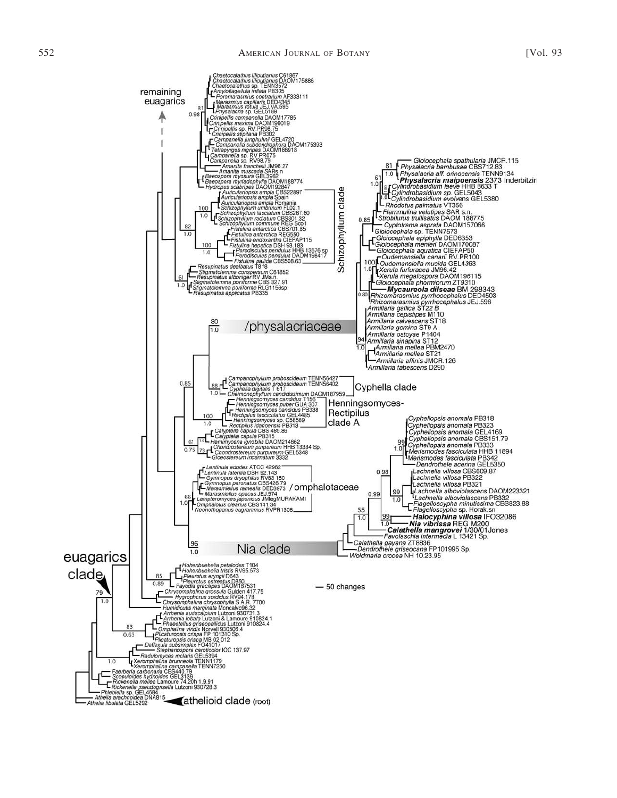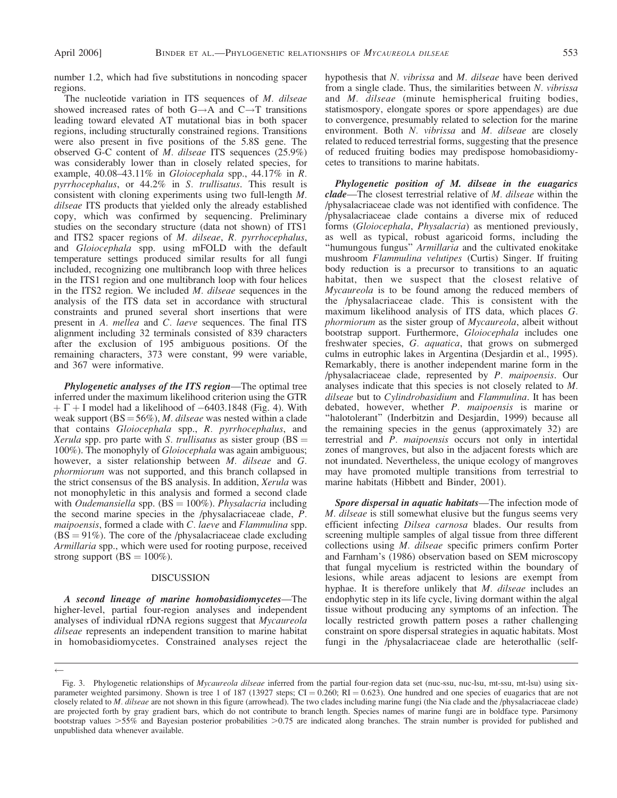number 1.2, which had five substitutions in noncoding spacer regions.

The nucleotide variation in ITS sequences of M. dilseae showed increased rates of both  $G \rightarrow A$  and  $C \rightarrow T$  transitions leading toward elevated AT mutational bias in both spacer regions, including structurally constrained regions. Transitions were also present in five positions of the 5.8S gene. The observed G-C content of M. dilseae ITS sequences (25.9%) was considerably lower than in closely related species, for example, 40.08–43.11% in Gloiocephala spp., 44.17% in R. pyrrhocephalus, or 44.2% in S. trullisatus. This result is consistent with cloning experiments using two full-length M. dilseae ITS products that yielded only the already established copy, which was confirmed by sequencing. Preliminary studies on the secondary structure (data not shown) of ITS1 and ITS2 spacer regions of M. dilseae, R. pyrrhocephalus, and Gloiocephala spp. using mFOLD with the default temperature settings produced similar results for all fungi included, recognizing one multibranch loop with three helices in the ITS1 region and one multibranch loop with four helices in the ITS2 region. We included M. dilseae sequences in the analysis of the ITS data set in accordance with structural constraints and pruned several short insertions that were present in A. mellea and C. laeve sequences. The final ITS alignment including 32 terminals consisted of 839 characters after the exclusion of 195 ambiguous positions. Of the remaining characters, 373 were constant, 99 were variable, and 367 were informative.

Phylogenetic analyses of the ITS region—The optimal tree inferred under the maximum likelihood criterion using the GTR  $+ \Gamma + I$  model had a likelihood of  $-6403.1848$  (Fig. 4). With weak support  $(BS = 56\%)$ , *M. dilseae* was nested within a clade that contains Gloiocephala spp., R. pyrrhocephalus, and Xerula spp. pro parte with S. trullisatus as sister group  $(BS =$ 100%). The monophyly of Gloiocephala was again ambiguous; however, a sister relationship between M. dilseae and G. phormiorum was not supported, and this branch collapsed in the strict consensus of the BS analysis. In addition, Xerula was not monophyletic in this analysis and formed a second clade with Oudemansiella spp. (BS =  $100\%$ ). Physalacria including the second marine species in the /physalacriaceae clade, P. maipoensis, formed a clade with C. laeve and Flammulina spp.  $(BS = 91\%)$ . The core of the /physalacriaceae clade excluding Armillaria spp., which were used for rooting purpose, received strong support  $(BS = 100\%).$ 

#### DISCUSSION

A second lineage of marine homobasidiomycetes—The higher-level, partial four-region analyses and independent analyses of individual rDNA regions suggest that Mycaureola dilseae represents an independent transition to marine habitat in homobasidiomycetes. Constrained analyses reject the

 $\leftarrow$ 

hypothesis that N. vibrissa and M. dilseae have been derived from a single clade. Thus, the similarities between N. vibrissa and M. dilseae (minute hemispherical fruiting bodies, statismospory, elongate spores or spore appendages) are due to convergence, presumably related to selection for the marine environment. Both N. vibrissa and M. dilseae are closely related to reduced terrestrial forms, suggesting that the presence of reduced fruiting bodies may predispose homobasidiomycetes to transitions to marine habitats.

Phylogenetic position of M. dilseae in the euagarics clade—The closest terrestrial relative of M. dilseae within the /physalacriaceae clade was not identified with confidence. The /physalacriaceae clade contains a diverse mix of reduced forms (Gloiocephala, Physalacria) as mentioned previously, as well as typical, robust agaricoid forms, including the "humungous fungus" Armillaria and the cultivated enokitake mushroom Flammulina velutipes (Curtis) Singer. If fruiting body reduction is a precursor to transitions to an aquatic habitat, then we suspect that the closest relative of Mycaureola is to be found among the reduced members of the /physalacriaceae clade. This is consistent with the maximum likelihood analysis of ITS data, which places G. phormiorum as the sister group of Mycaureola, albeit without bootstrap support. Furthermore, Gloiocephala includes one freshwater species, G. aquatica, that grows on submerged culms in eutrophic lakes in Argentina (Desjardin et al., 1995). Remarkably, there is another independent marine form in the /physalacriaceae clade, represented by P. maipoensis. Our analyses indicate that this species is not closely related to M. dilseae but to Cylindrobasidium and Flammulina. It has been debated, however, whether P. maipoensis is marine or "halotolerant" (Inderbitzin and Desjardin, 1999) because all the remaining species in the genus (approximately 32) are terrestrial and P. maipoensis occurs not only in intertidal zones of mangroves, but also in the adjacent forests which are not inundated. Nevertheless, the unique ecology of mangroves may have promoted multiple transitions from terrestrial to marine habitats (Hibbett and Binder, 2001).

Spore dispersal in aquatic habitats—The infection mode of M. dilseae is still somewhat elusive but the fungus seems very efficient infecting Dilsea carnosa blades. Our results from screening multiple samples of algal tissue from three different collections using M. dilseae specific primers confirm Porter and Farnham's (1986) observation based on SEM microscopy that fungal mycelium is restricted within the boundary of lesions, while areas adjacent to lesions are exempt from hyphae. It is therefore unlikely that M. dilseae includes an endophytic step in its life cycle, living dormant within the algal tissue without producing any symptoms of an infection. The locally restricted growth pattern poses a rather challenging constraint on spore dispersal strategies in aquatic habitats. Most fungi in the /physalacriaceae clade are heterothallic (self-

Fig. 3. Phylogenetic relationships of Mycaureola dilseae inferred from the partial four-region data set (nuc-ssu, nuc-lsu, mt-ssu, mt-lsu) using sixparameter weighted parsimony. Shown is tree 1 of 187 (13927 steps;  $CI = 0.260$ ;  $RI = 0.623$ ). One hundred and one species of euagarics that are not closely related to M. dilseae are not shown in this figure (arrowhead). The two clades including marine fungi (the Nia clade and the /physalacriaceae clade) are projected forth by gray gradient bars, which do not contribute to branch length. Species names of marine fungi are in boldface type. Parsimony bootstrap values >55% and Bayesian posterior probabilities >0.75 are indicated along branches. The strain number is provided for published and unpublished data whenever available.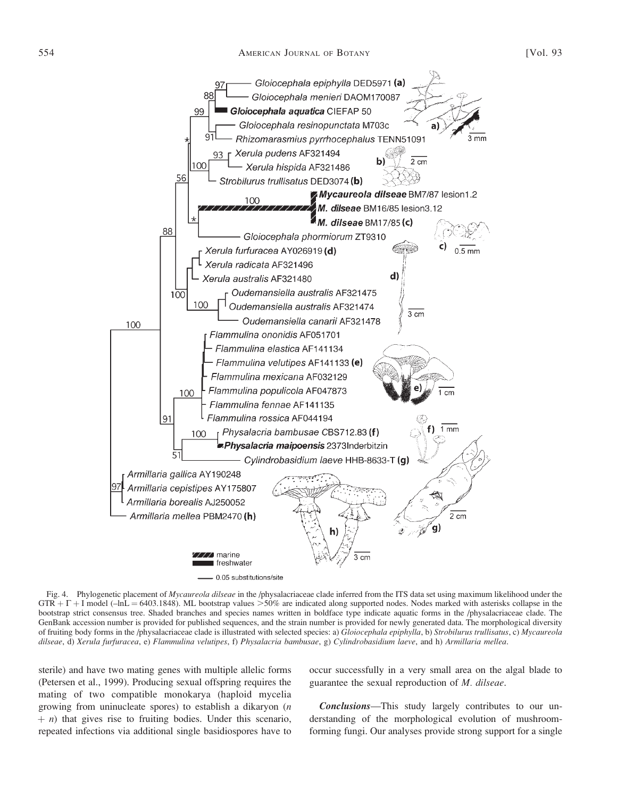

Fig. 4. Phylogenetic placement of Mycaureola dilseae in the /physalacriaceae clade inferred from the ITS data set using maximum likelihood under the  $GTR + \Gamma + I$  model (–lnL = 6403.1848). ML bootstrap values >50% are indicated along supported nodes. Nodes marked with asterisks collapse in the bootstrap strict consensus tree. Shaded branches and species names written in boldface type indicate aquatic forms in the /physalacriaceae clade. The GenBank accession number is provided for published sequences, and the strain number is provided for newly generated data. The morphological diversity of fruiting body forms in the /physalacriaceae clade is illustrated with selected species: a) Gloiocephala epiphylla, b) Strobilurus trullisatus, c) Mycaureola dilseae, d) Xerula furfuracea, e) Flammulina velutipes, f) Physalacria bambusae, g) Cylindrobasidium laeve, and h) Armillaria mellea.

sterile) and have two mating genes with multiple allelic forms (Petersen et al., 1999). Producing sexual offspring requires the mating of two compatible monokarya (haploid mycelia growing from uninucleate spores) to establish a dikaryon (n  $(n + n)$  that gives rise to fruiting bodies. Under this scenario, repeated infections via additional single basidiospores have to

occur successfully in a very small area on the algal blade to guarantee the sexual reproduction of M. dilseae.

Conclusions—This study largely contributes to our understanding of the morphological evolution of mushroomforming fungi. Our analyses provide strong support for a single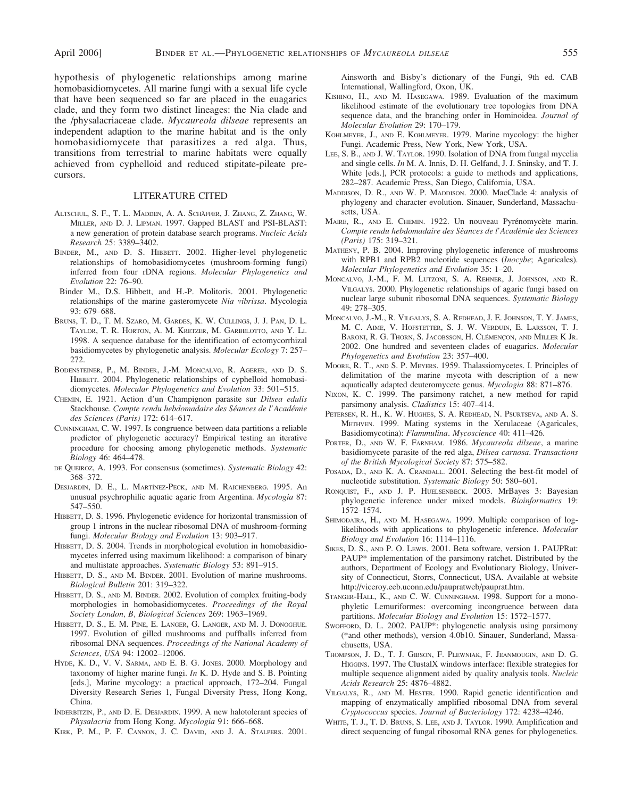hypothesis of phylogenetic relationships among marine homobasidiomycetes. All marine fungi with a sexual life cycle that have been sequenced so far are placed in the euagarics clade, and they form two distinct lineages: the Nia clade and the /physalacriaceae clade. Mycaureola dilseae represents an independent adaption to the marine habitat and is the only homobasidiomycete that parasitizes a red alga. Thus, transitions from terrestrial to marine habitats were equally achieved from cyphelloid and reduced stipitate-pileate precursors.

#### LITERATURE CITED

- ALTSCHUL, S. F., T. L. MADDEN, A. A. SCHÄFFER, J. ZHANG, Z. ZHANG, W. MILLER, AND D. J. LIPMAN. 1997. Gapped BLAST and PSI-BLAST: a new generation of protein database search programs. Nucleic Acids Research 25: 3389–3402.
- BINDER, M., AND D. S. HIBBETT. 2002. Higher-level phylogenetic relationships of homobasidiomycetes (mushroom-forming fungi) inferred from four rDNA regions. Molecular Phylogenetics and Evolution 22: 76–90.
- Binder M., D.S. Hibbett, and H.-P. Molitoris. 2001. Phylogenetic relationships of the marine gasteromycete Nia vibrissa. Mycologia 93: 679–688.
- BRUNS, T. D., T. M. SZARO, M. GARDES, K. W. CULLINGS, J. J. PAN, D. L. TAYLOR, T. R. HORTON, A. M. KRETZER, M. GARBELOTTO, AND Y. LI. 1998. A sequence database for the identification of ectomycorrhizal basidiomycetes by phylogenetic analysis. Molecular Ecology 7: 257– 272.
- BODENSTEINER, P., M. BINDER, J.-M. MONCALVO, R. AGERER, AND D. S. HIBBETT. 2004. Phylogenetic relationships of cyphelloid homobasidiomycetes. Molecular Phylogenetics and Evolution 33: 501–515.
- CHEMIN, E. 1921. Action d'un Champignon parasite sur Dilsea edulis Stackhouse. Compte rendu hebdomadaire des Séances de l'Académie des Sciences (Paris) 172: 614–617.
- CUNNINGHAM, C. W. 1997. Is congruence between data partitions a reliable predictor of phylogenetic accuracy? Empirical testing an iterative procedure for choosing among phylogenetic methods. Systematic Biology 46: 464–478.
- DE QUEIROZ, A. 1993. For consensus (sometimes). Systematic Biology 42: 368–372.
- DESJARDIN, D. E., L. MARTÍNEZ-PECK, AND M. RAICHENBERG. 1995. An unusual psychrophilic aquatic agaric from Argentina. Mycologia 87: 547–550.
- HIBBETT, D. S. 1996. Phylogenetic evidence for horizontal transmission of group 1 introns in the nuclear ribosomal DNA of mushroom-forming fungi. Molecular Biology and Evolution 13: 903–917.
- HIBBETT, D. S. 2004. Trends in morphological evolution in homobasidiomycetes inferred using maximum likelihood: a comparison of binary and multistate approaches. Systematic Biology 53: 891–915.
- HIBBETT, D. S., AND M. BINDER. 2001. Evolution of marine mushrooms. Biological Bulletin 201: 319–322.
- HIBBETT, D. S., AND M. BINDER. 2002. Evolution of complex fruiting-body morphologies in homobasidiomycetes. Proceedings of the Royal Society London, B, Biological Sciences 269: 1963–1969.
- HIBBETT, D. S., E. M. PINE, E. LANGER, G. LANGER, AND M. J. DONOGHUE. 1997. Evolution of gilled mushrooms and puffballs inferred from ribosomal DNA sequences. Proceedings of the National Academy of Sciences, USA 94: 12002–12006.
- HYDE, K. D., V. V. SARMA, AND E. B. G. JONES. 2000. Morphology and taxonomy of higher marine fungi.  $In K. D. Hyde$  and S. B. Pointing [eds.], Marine mycology: a practical approach, 172–204. Fungal Diversity Research Series 1, Fungal Diversity Press, Hong Kong, China.
- INDERBITZIN, P., AND D. E. DESJARDIN. 1999. A new halotolerant species of Physalacria from Hong Kong. Mycologia 91: 666–668.
- KIRK, P. M., P. F. CANNON, J. C. DAVID, AND J. A. STALPERS. 2001.

Ainsworth and Bisby's dictionary of the Fungi, 9th ed. CAB International, Wallingford, Oxon, UK.

- KISHINO, H., AND M. HASEGAWA. 1989. Evaluation of the maximum likelihood estimate of the evolutionary tree topologies from DNA sequence data, and the branching order in Hominoidea. Journal of Molecular Evolution 29: 170–179.
- KOHLMEYER, J., AND E. KOHLMEYER. 1979. Marine mycology: the higher Fungi. Academic Press, New York, New York, USA.
- LEE, S. B., AND J. W. TAYLOR. 1990. Isolation of DNA from fungal mycelia and single cells. In M. A. Innis, D. H. Gelfand, J. J. Sninsky, and T. J. White [eds.], PCR protocols: a guide to methods and applications, 282–287. Academic Press, San Diego, California, USA.
- MADDISON, D. R., AND W. P. MADDISON. 2000. MacClade 4: analysis of phylogeny and character evolution. Sinauer, Sunderland, Massachusetts, USA.
- MAIRE, R., AND E. CHEMIN. 1922. Un nouveau Pyrénomycète marin. Compte rendu hebdomadaire des Sèances de l'Acadèmie des Sciences (Paris) 175: 319–321.
- MATHENY, P. B. 2004. Improving phylogenetic inference of mushrooms with RPB1 and RPB2 nucleotide sequences (Inocybe; Agaricales). Molecular Phylogenetics and Evolution 35: 1–20.
- MONCALVO, J.-M., F. M. LUTZONI, S. A. REHNER, J. JOHNSON, AND R. VILGALYS. 2000. Phylogenetic relationships of agaric fungi based on nuclear large subunit ribosomal DNA sequences. Systematic Biology 49: 278–305.
- MONCALVO, J.-M., R. VILGALYS, S. A. REDHEAD, J. E. JOHNSON, T. Y. JAMES, M. C. AIME, V. HOFSTETTER, S. J. W. VERDUIN, E. LARSSON, T. J. BARONI, R. G. THORN, S. JACOBSSON, H. CLÉMENÇON, AND MILLER K JR. 2002. One hundred and seventeen clades of euagarics. Molecular Phylogenetics and Evolution 23: 357–400.
- MOORE, R. T., AND S. P. MEYERS. 1959. Thalassiomycetes. I. Principles of delimitation of the marine mycota with description of a new aquatically adapted deuteromycete genus. Mycologia 88: 871–876.
- NIXON, K. C. 1999. The parsimony ratchet, a new method for rapid parsimony analysis. Cladistics 15: 407–414.
- PETERSEN, R. H., K. W. HUGHES, S. A. REDHEAD, N. PSURTSEVA, AND A. S. METHVEN. 1999. Mating systems in the Xerulaceae (Agaricales, Basidiomycotina): Flammulina. Mycoscience 40: 411–426.
- PORTER, D., AND W. F. FARNHAM. 1986. Mycaureola dilseae, a marine basidiomycete parasite of the red alga, Dilsea carnosa. Transactions of the British Mycological Society 87: 575–582.
- POSADA, D., AND K. A. CRANDALL. 2001. Selecting the best-fit model of nucleotide substitution. Systematic Biology 50: 580–601.
- RONQUIST, F., AND J. P. HUELSENBECK. 2003. MrBayes 3: Bayesian phylogenetic inference under mixed models. Bioinformatics 19: 1572–1574.
- SHIMODAIRA, H., AND M. HASEGAWA. 1999. Multiple comparison of loglikelihoods with applications to phylogenetic inference. Molecular Biology and Evolution 16: 1114–1116.
- SIKES, D. S., AND P. O. LEWIS. 2001. Beta software, version 1. PAUPRat: PAUP\* implementation of the parsimony ratchet. Distributed by the authors, Department of Ecology and Evolutionary Biology, University of Connecticut, Storrs, Connecticut, USA. Available at website http://viceroy.eeb.uconn.edu/paupratweb/pauprat.htm.
- STANGER-HALL, K., AND C. W. CUNNINGHAM. 1998. Support for a monophyletic Lemuriformes: overcoming incongruence between data partitions. Molecular Biology and Evolution 15: 1572–1577.
- SWOFFORD, D. L. 2002. PAUP\*: phylogenetic analysis using parsimony (\*and other methods), version 4.0b10. Sinauer, Sunderland, Massachusetts, USA.
- THOMPSON, J. D., T. J. GIBSON, F. PLEWNIAK, F. JEANMOUGIN, AND D. G. HIGGINS. 1997. The ClustalX windows interface: flexible strategies for multiple sequence alignment aided by quality analysis tools. Nucleic Acids Research 25: 4876–4882.
- VILGALYS, R., AND M. HESTER. 1990. Rapid genetic identification and mapping of enzymatically amplified ribosomal DNA from several Cryptococcus species. Journal of Bacteriology 172: 4238–4246.
- WHITE, T. J., T. D. BRUNS, S. LEE, AND J. TAYLOR. 1990. Amplification and direct sequencing of fungal ribosomal RNA genes for phylogenetics.